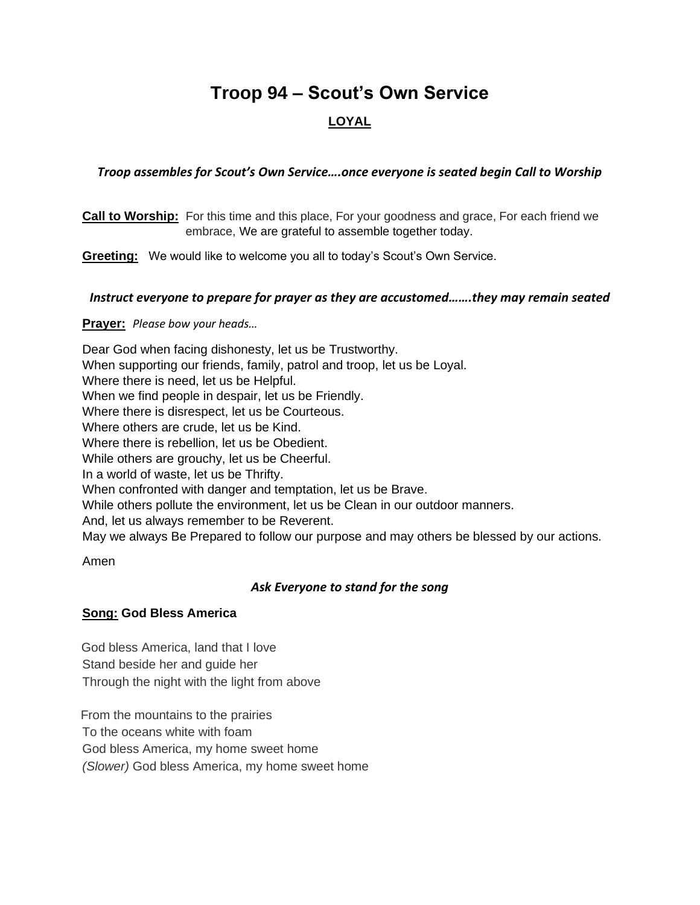# **Troop 94 – Scout's Own Service**

# **LOYAL**

# *Troop assembles for Scout's Own Service….once everyone is seated begin Call to Worship*

**Call to Worship:** For this time and this place, For your goodness and grace, For each friend we embrace, We are grateful to assemble together today.

**Greeting:** We would like to welcome you all to today's Scout's Own Service.

# *Instruct everyone to prepare for prayer as they are accustomed…….they may remain seated*

**Prayer:** *Please bow your heads…*

Dear God when facing dishonesty, let us be Trustworthy. When supporting our friends, family, patrol and troop, let us be Loyal. Where there is need, let us be Helpful. When we find people in despair, let us be Friendly. Where there is disrespect, let us be Courteous. Where others are crude, let us be Kind. Where there is rebellion, let us be Obedient. While others are grouchy, let us be Cheerful. In a world of waste, let us be Thrifty. When confronted with danger and temptation, let us be Brave. While others pollute the environment, let us be Clean in our outdoor manners. And, let us always remember to be Reverent. May we always Be Prepared to follow our purpose and may others be blessed by our actions.

Amen

# *Ask Everyone to stand for the song*

# **Song: God Bless America**

 God bless America, land that I love Stand beside her and guide her Through the night with the light from above

 From the mountains to the prairies To the oceans white with foam God bless America, my home sweet home *(Slower)* God bless America, my home sweet home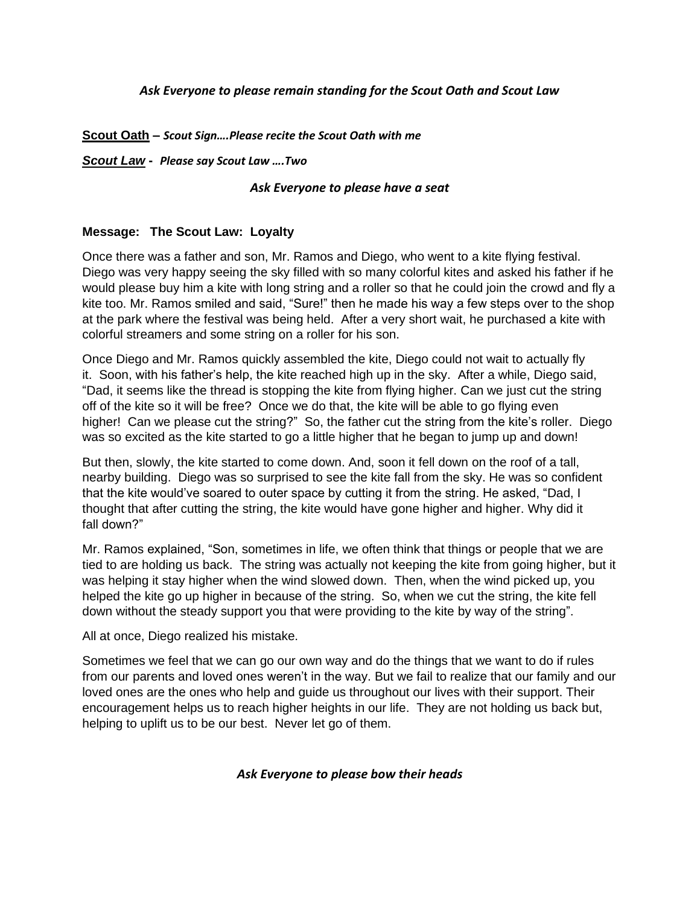# *Ask Everyone to please remain standing for the Scout Oath and Scout Law*

#### **Scout Oath –** *Scout Sign….Please recite the Scout Oath with me*

#### *Scout Law* **-** *Please say Scout Law ….Two*

#### *Ask Everyone to please have a seat*

#### **Message: The Scout Law: Loyalty**

Once there was a father and son, Mr. Ramos and Diego, who went to a kite flying festival. Diego was very happy seeing the sky filled with so many colorful kites and asked his father if he would please buy him a kite with long string and a roller so that he could join the crowd and fly a kite too. Mr. Ramos smiled and said, "Sure!" then he made his way a few steps over to the shop at the park where the festival was being held. After a very short wait, he purchased a kite with colorful streamers and some string on a roller for his son.

Once Diego and Mr. Ramos quickly assembled the kite, Diego could not wait to actually fly it. Soon, with his father's help, the kite reached high up in the sky. After a while, Diego said, "Dad, it seems like the thread is stopping the kite from flying higher. Can we just cut the string off of the kite so it will be free? Once we do that, the kite will be able to go flying even higher! Can we please cut the string?" So, the father cut the string from the kite's roller. Diego was so excited as the kite started to go a little higher that he began to jump up and down!

But then, slowly, the kite started to come down. And, soon it fell down on the roof of a tall, nearby building. Diego was so surprised to see the kite fall from the sky. He was so confident that the kite would've soared to outer space by cutting it from the string. He asked, "Dad, I thought that after cutting the string, the kite would have gone higher and higher. Why did it fall down?"

Mr. Ramos explained, "Son, sometimes in life, we often think that things or people that we are tied to are holding us back. The string was actually not keeping the kite from going higher, but it was helping it stay higher when the wind slowed down. Then, when the wind picked up, you helped the kite go up higher in because of the string. So, when we cut the string, the kite fell down without the steady support you that were providing to the kite by way of the string".

All at once, Diego realized his mistake.

Sometimes we feel that we can go our own way and do the things that we want to do if rules from our parents and loved ones weren't in the way. But we fail to realize that our family and our loved ones are the ones who help and guide us throughout our lives with their support. Their encouragement helps us to reach higher heights in our life. They are not holding us back but, helping to uplift us to be our best. Never let go of them.

#### *Ask Everyone to please bow their heads*